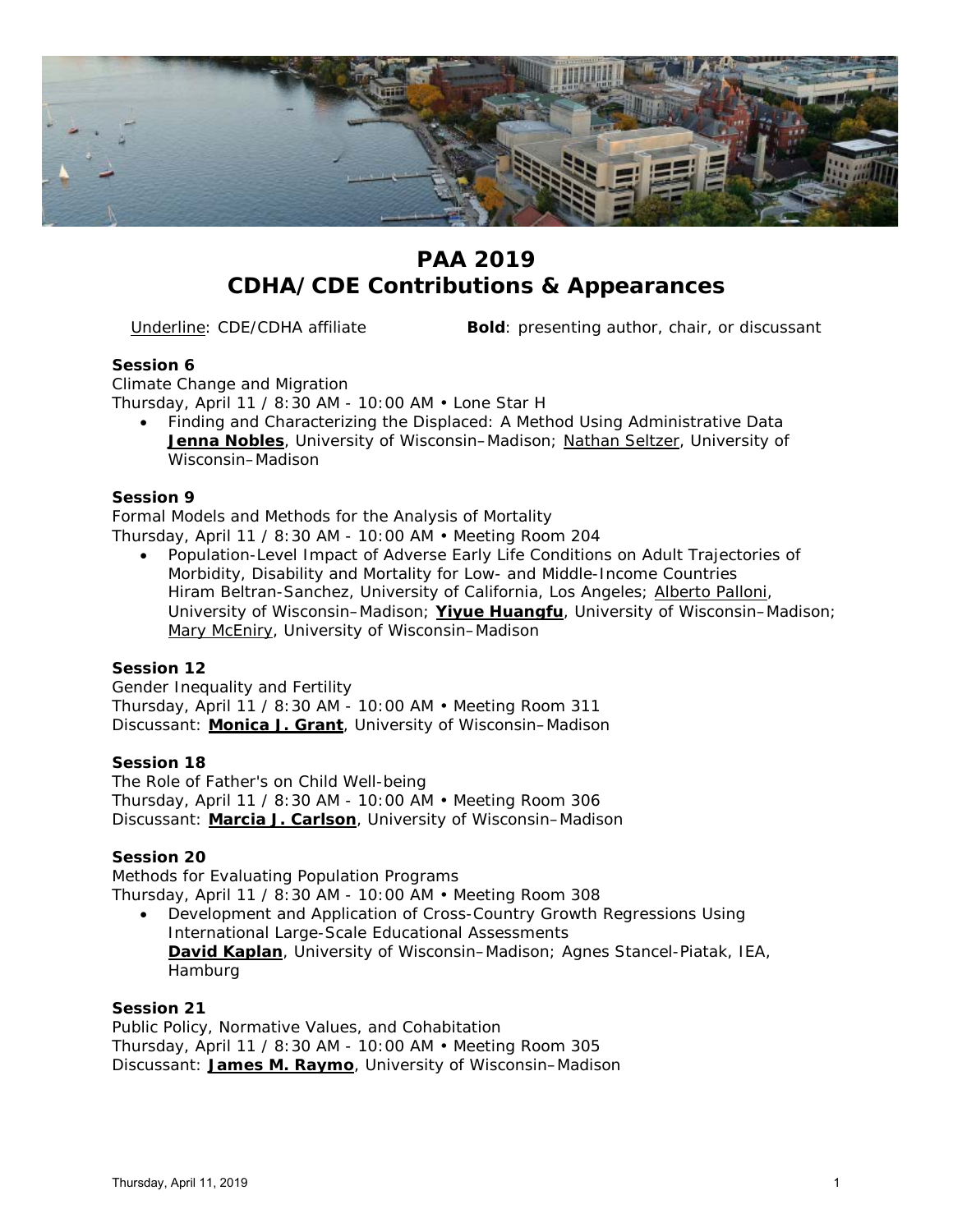

## **PAA 2019 CDHA/CDE Contributions & Appearances**

Underline: CDE/CDHA affiliate **Bold**: presenting author, chair, or discussant

#### **Session 6**

Climate Change and Migration

Thursday, April 11 / 8:30 AM - 10:00 AM • Lone Star H

• Finding and Characterizing the Displaced: A Method Using Administrative Data Jenna Nobles, University of Wisconsin-Madison; Nathan Seltzer, University of Wisconsin–Madison

#### **Session 9**

Formal Models and Methods for the Analysis of Mortality Thursday, April 11 / 8:30 AM - 10:00 AM • Meeting Room 204

• Population-Level Impact of Adverse Early Life Conditions on Adult Trajectories of Morbidity, Disability and Mortality for Low- and Middle-Income Countries Hiram Beltran-Sanchez, University of California, Los Angeles; Alberto Palloni, University of Wisconsin–Madison; **Yiyue Huangfu**, University of Wisconsin–Madison; Mary McEniry, University of Wisconsin–Madison

#### **Session 12**

Gender Inequality and Fertility Thursday, April 11 / 8:30 AM - 10:00 AM • Meeting Room 311 Discussant: **Monica J. Grant**, University of Wisconsin–Madison

#### **Session 18**

The Role of Father's on Child Well-being Thursday, April 11 / 8:30 AM - 10:00 AM • Meeting Room 306 Discussant: **Marcia J. Carlson**, University of Wisconsin–Madison

#### **Session 20**

Methods for Evaluating Population Programs Thursday, April 11 / 8:30 AM - 10:00 AM • Meeting Room 308

• Development and Application of Cross-Country Growth Regressions Using International Large-Scale Educational Assessments **David Kaplan**, University of Wisconsin–Madison; Agnes Stancel-Piatak, IEA, Hamburg

#### **Session 21**

Public Policy, Normative Values, and Cohabitation Thursday, April 11 / 8:30 AM - 10:00 AM • Meeting Room 305 Discussant: **James M. Raymo**, University of Wisconsin–Madison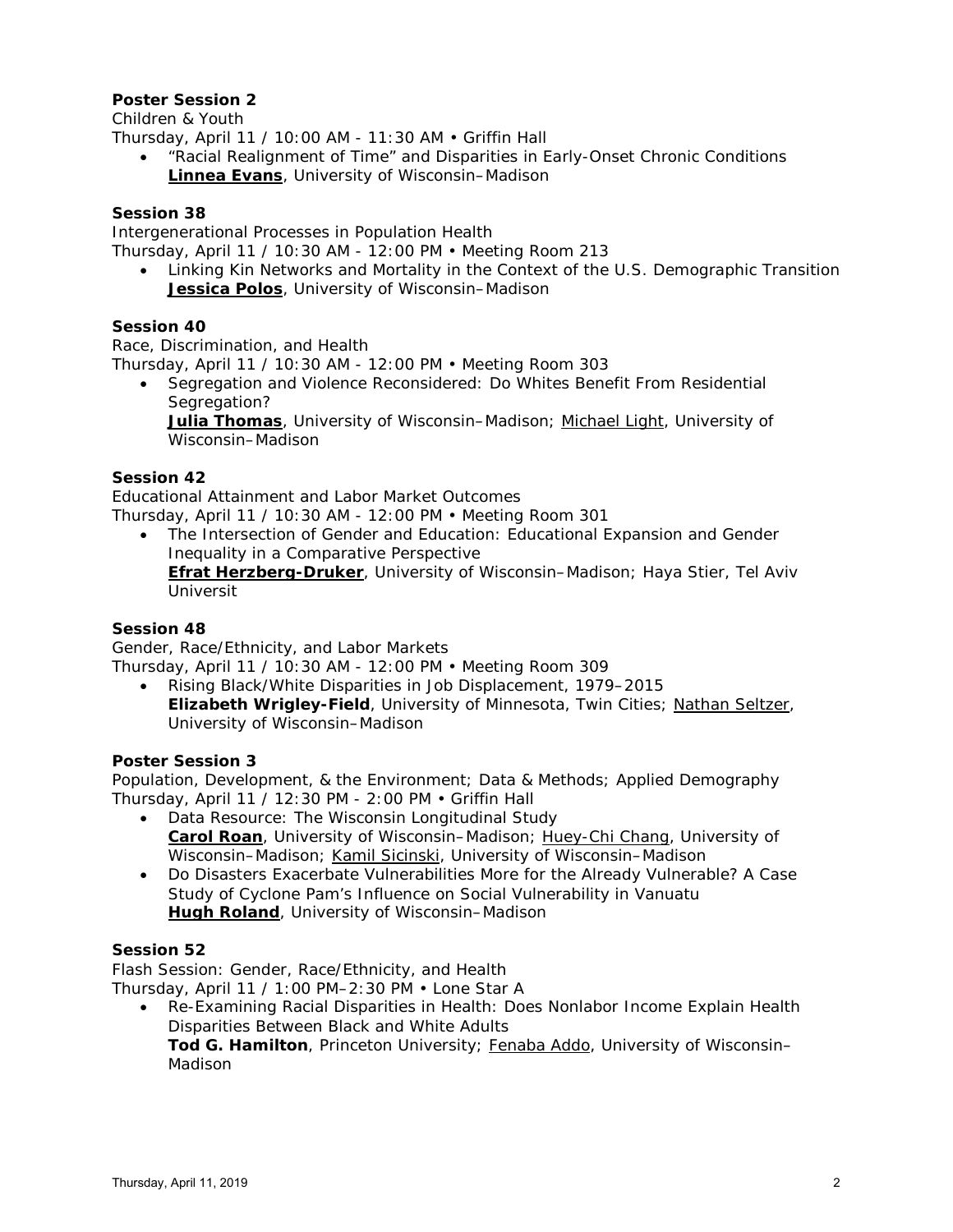Children & Youth

Thursday, April 11 / 10:00 AM - 11:30 AM • Griffin Hall

• "Racial Realignment of Time" and Disparities in Early-Onset Chronic Conditions **Linnea Evans**, University of Wisconsin–Madison

## **Session 38**

Intergenerational Processes in Population Health

Thursday, April 11 / 10:30 AM - 12:00 PM • Meeting Room 213

• Linking Kin Networks and Mortality in the Context of the U.S. Demographic Transition **Jessica Polos**, University of Wisconsin–Madison

#### **Session 40**

Race, Discrimination, and Health

Thursday, April 11 / 10:30 AM - 12:00 PM • Meeting Room 303

• Segregation and Violence Reconsidered: Do Whites Benefit From Residential Segregation?

**Julia Thomas**, University of Wisconsin–Madison; Michael Light, University of Wisconsin–Madison

#### **Session 42**

Educational Attainment and Labor Market Outcomes Thursday, April 11 / 10:30 AM - 12:00 PM • Meeting Room 301

• The Intersection of Gender and Education: Educational Expansion and Gender Inequality in a Comparative Perspective **Efrat Herzberg-Druker**, University of Wisconsin–Madison; Haya Stier, Tel Aviv Universit

#### **Session 48**

Gender, Race/Ethnicity, and Labor Markets Thursday, April 11 / 10:30 AM - 12:00 PM • Meeting Room 309

• Rising Black/White Disparities in Job Displacement, 1979–2015 **Elizabeth Wrigley-Field**, University of Minnesota, Twin Cities; Nathan Seltzer, University of Wisconsin–Madison

#### **Poster Session 3**

Population, Development, & the Environment; Data & Methods; Applied Demography Thursday, April 11 / 12:30 PM - 2:00 PM • Griffin Hall

- Data Resource: The Wisconsin Longitudinal Study **Carol Roan**, University of Wisconsin–Madison; Huey-Chi Chang, University of Wisconsin–Madison; Kamil Sicinski, University of Wisconsin–Madison
- Do Disasters Exacerbate Vulnerabilities More for the Already Vulnerable? A Case Study of Cyclone Pam's Influence on Social Vulnerability in Vanuatu **Hugh Roland**, University of Wisconsin–Madison

#### **Session 52**

Flash Session: Gender, Race/Ethnicity, and Health

Thursday, April 11 / 1:00 PM–2:30 PM • Lone Star A

• Re-Examining Racial Disparities in Health: Does Nonlabor Income Explain Health Disparities Between Black and White Adults **Tod G. Hamilton**, Princeton University; Fenaba Addo, University of Wisconsin–

Madison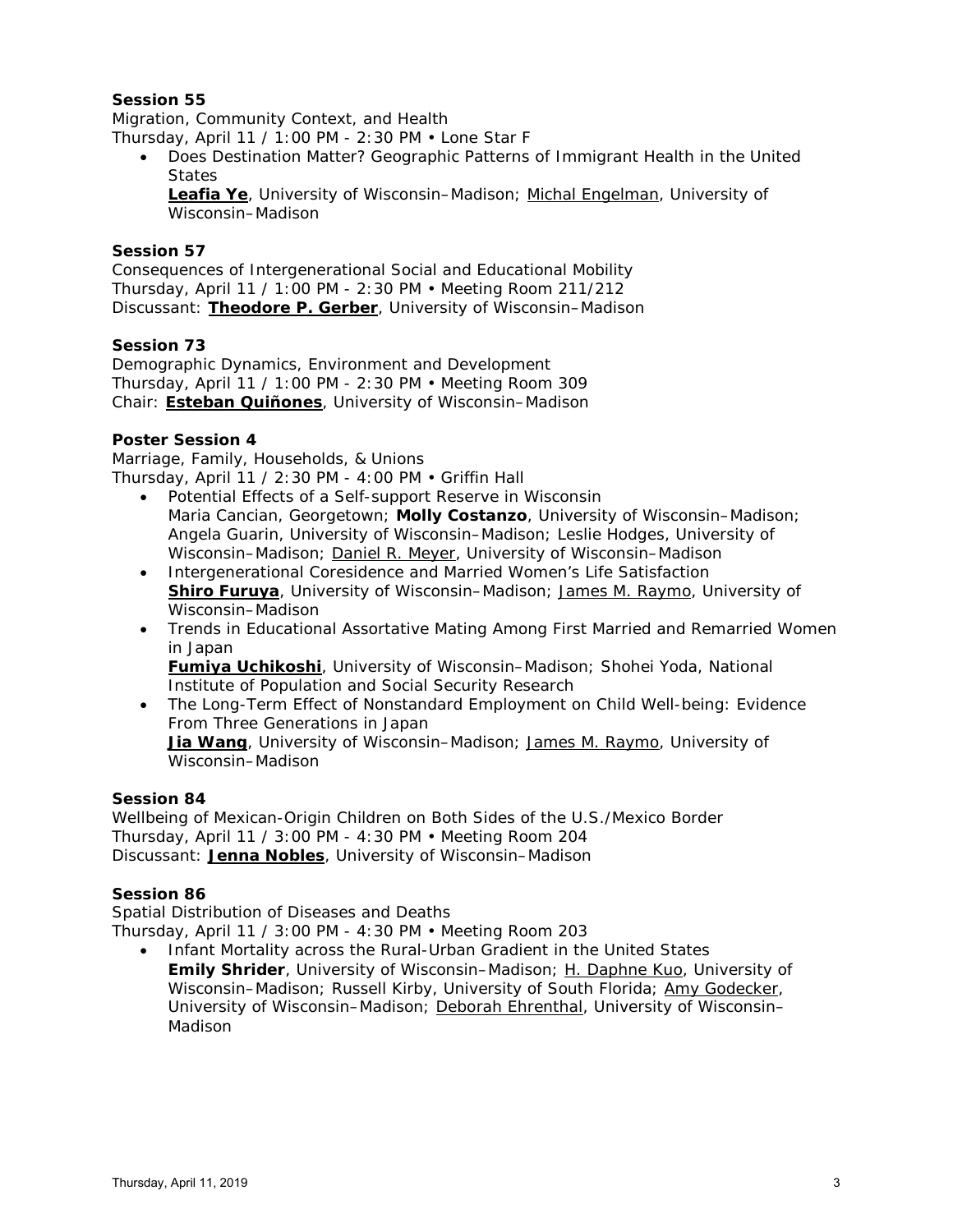Migration, Community Context, and Health

Thursday, April 11 / 1:00 PM - 2:30 PM • Lone Star F

• Does Destination Matter? Geographic Patterns of Immigrant Health in the United **States** 

**Leafia Ye**, University of Wisconsin–Madison; Michal Engelman, University of Wisconsin–Madison

#### **Session 57**

Consequences of Intergenerational Social and Educational Mobility Thursday, April 11 / 1:00 PM - 2:30 PM • Meeting Room 211/212 Discussant: **Theodore P. Gerber**, University of Wisconsin–Madison

#### **Session 73**

Demographic Dynamics, Environment and Development Thursday, April 11 / 1:00 PM - 2:30 PM • Meeting Room 309 Chair: **Esteban Quiñones**, University of Wisconsin–Madison

#### **Poster Session 4**

Marriage, Family, Households, & Unions Thursday, April 11 / 2:30 PM - 4:00 PM • Griffin Hall

- Potential Effects of a Self-support Reserve in Wisconsin Maria Cancian, Georgetown; **Molly Costanzo**, University of Wisconsin–Madison; Angela Guarin, University of Wisconsin–Madison; Leslie Hodges, University of Wisconsin–Madison; Daniel R. Meyer, University of Wisconsin–Madison
- Intergenerational Coresidence and Married Women's Life Satisfaction **Shiro Furuya**, University of Wisconsin–Madison; James M. Raymo, University of Wisconsin–Madison
- Trends in Educational Assortative Mating Among First Married and Remarried Women in Japan **Fumiya Uchikoshi**, University of Wisconsin–Madison; Shohei Yoda, National

Institute of Population and Social Security Research

• The Long-Term Effect of Nonstandard Employment on Child Well-being: Evidence From Three Generations in Japan **Jia Wang**, University of Wisconsin–Madison; James M. Raymo, University of Wisconsin–Madison

#### **Session 84**

Wellbeing of Mexican-Origin Children on Both Sides of the U.S./Mexico Border Thursday, April 11 / 3:00 PM - 4:30 PM • Meeting Room 204 Discussant: **Jenna Nobles**, University of Wisconsin–Madison

#### **Session 86**

Spatial Distribution of Diseases and Deaths

Thursday, April 11 / 3:00 PM - 4:30 PM • Meeting Room 203

• Infant Mortality across the Rural-Urban Gradient in the United States **Emily Shrider**, University of Wisconsin–Madison; H. Daphne Kuo, University of Wisconsin–Madison; Russell Kirby, University of South Florida; Amy Godecker, University of Wisconsin-Madison; Deborah Ehrenthal, University of Wisconsin-Madison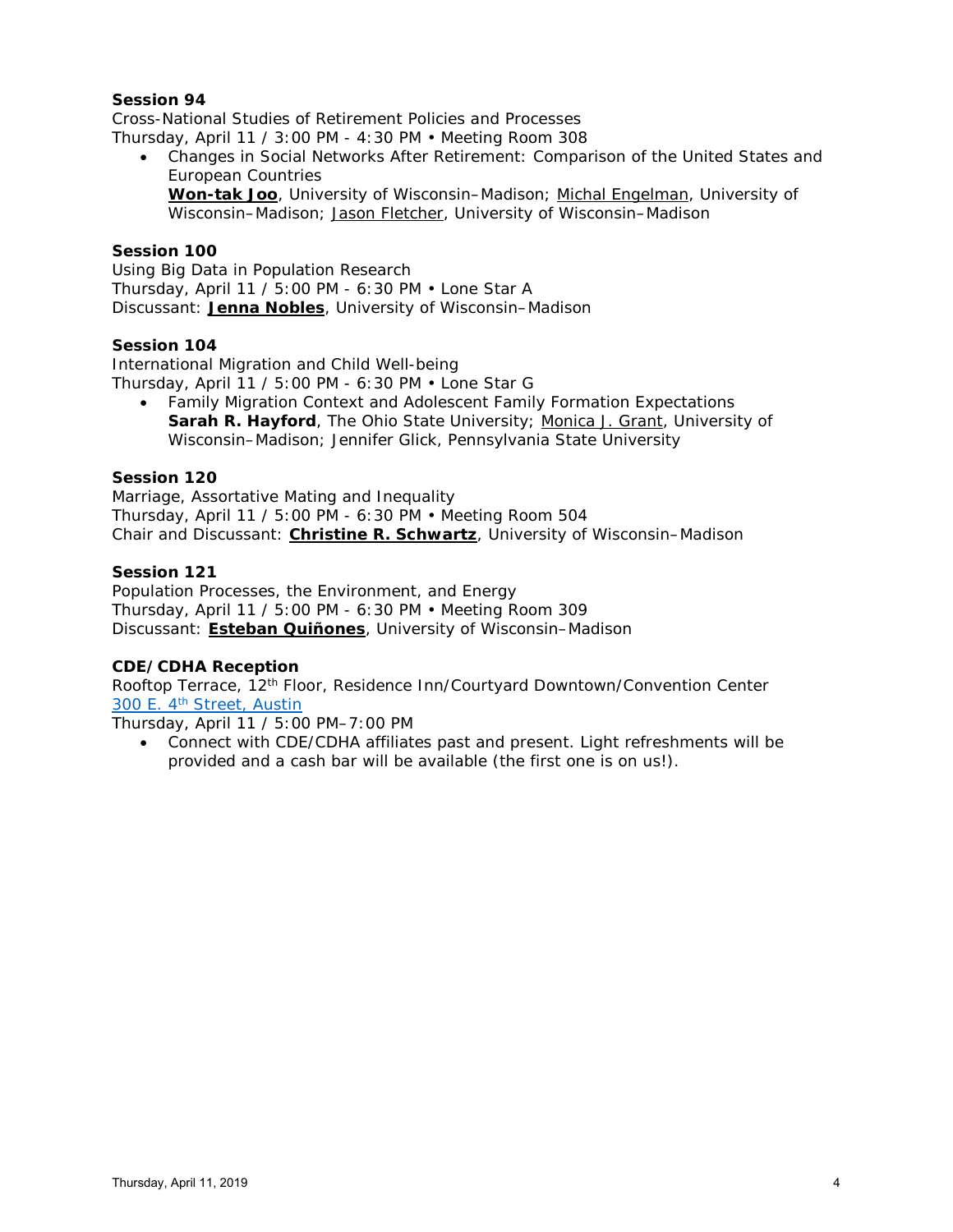Cross-National Studies of Retirement Policies and Processes Thursday, April 11 / 3:00 PM - 4:30 PM • Meeting Room 308

• Changes in Social Networks After Retirement: Comparison of the United States and European Countries **Won-tak Joo**, University of Wisconsin–Madison; Michal Engelman, University of Wisconsin-Madison; Jason Fletcher, University of Wisconsin-Madison

#### **Session 100**

Using Big Data in Population Research Thursday, April 11 / 5:00 PM - 6:30 PM • Lone Star A Discussant: **Jenna Nobles**, University of Wisconsin–Madison

#### **Session 104**

International Migration and Child Well-being Thursday, April 11 / 5:00 PM - 6:30 PM • Lone Star G

• Family Migration Context and Adolescent Family Formation Expectations **Sarah R. Hayford**, The Ohio State University; Monica J. Grant, University of Wisconsin–Madison; Jennifer Glick, Pennsylvania State University

#### **Session 120**

Marriage, Assortative Mating and Inequality Thursday, April 11 / 5:00 PM - 6:30 PM • Meeting Room 504 Chair and Discussant: **Christine R. Schwartz**, University of Wisconsin–Madison

#### **Session 121**

Population Processes, the Environment, and Energy Thursday, April 11 / 5:00 PM - 6:30 PM • Meeting Room 309 Discussant: **Esteban Quiñones**, University of Wisconsin–Madison

#### **CDE/CDHA Reception**

Rooftop Terrace, 12<sup>th</sup> Floor, Residence Inn/Courtyard Downtown/Convention Center 300 E. 4<sup>th</sup> [Street, Austin](https://goo.gl/maps/bxYvCfpdiWr)

Thursday, April 11 / 5:00 PM–7:00 PM

• Connect with CDE/CDHA affiliates past and present. Light refreshments will be provided and a cash bar will be available (the first one is on us!).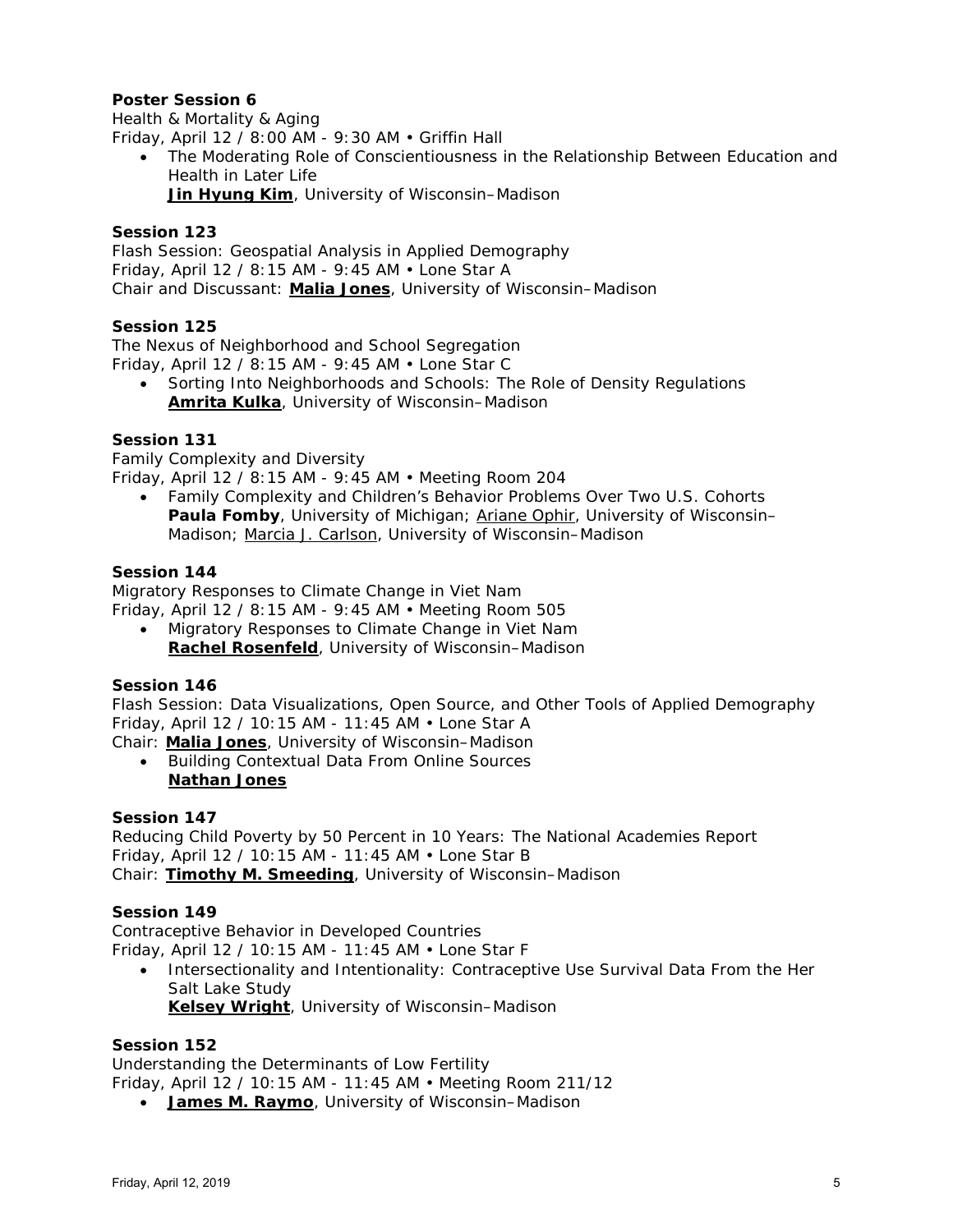Health & Mortality & Aging

Friday, April 12 / 8:00 AM - 9:30 AM • Griffin Hall

- The Moderating Role of Conscientiousness in the Relationship Between Education and Health in Later Life
	- **Jin Hyung Kim**, University of Wisconsin-Madison

#### **Session 123**

Flash Session: Geospatial Analysis in Applied Demography Friday, April 12 / 8:15 AM - 9:45 AM • Lone Star A Chair and Discussant: **Malia Jones**, University of Wisconsin–Madison

#### **Session 125**

The Nexus of Neighborhood and School Segregation Friday, April 12 / 8:15 AM - 9:45 AM • Lone Star C

• Sorting Into Neighborhoods and Schools: The Role of Density Regulations **Amrita Kulka**, University of Wisconsin–Madison

#### **Session 131**

Family Complexity and Diversity

Friday, April 12 / 8:15 AM - 9:45 AM • Meeting Room 204

• Family Complexity and Children's Behavior Problems Over Two U.S. Cohorts **Paula Fomby**, University of Michigan; Ariane Ophir, University of Wisconsin– Madison; Marcia J. Carlson, University of Wisconsin–Madison

#### **Session 144**

Migratory Responses to Climate Change in Viet Nam Friday, April 12 / 8:15 AM - 9:45 AM • Meeting Room 505

• Migratory Responses to Climate Change in Viet Nam **Rachel Rosenfeld**, University of Wisconsin–Madison

#### **Session 146**

Flash Session: Data Visualizations, Open Source, and Other Tools of Applied Demography Friday, April 12 / 10:15 AM - 11:45 AM • Lone Star A

Chair: **Malia Jones**, University of Wisconsin–Madison

• Building Contextual Data From Online Sources **Nathan Jones**

#### **Session 147**

Reducing Child Poverty by 50 Percent in 10 Years: The National Academies Report Friday, April 12 / 10:15 AM - 11:45 AM • Lone Star B Chair: **Timothy M. Smeeding**, University of Wisconsin–Madison

#### **Session 149**

Contraceptive Behavior in Developed Countries Friday, April 12 / 10:15 AM - 11:45 AM • Lone Star F

• Intersectionality and Intentionality: Contraceptive Use Survival Data From the Her Salt Lake Study

**Kelsey Wright**, University of Wisconsin–Madison

#### **Session 152**

Understanding the Determinants of Low Fertility

Friday, April 12 / 10:15 AM - 11:45 AM • Meeting Room 211/12

• **James M. Raymo**, University of Wisconsin–Madison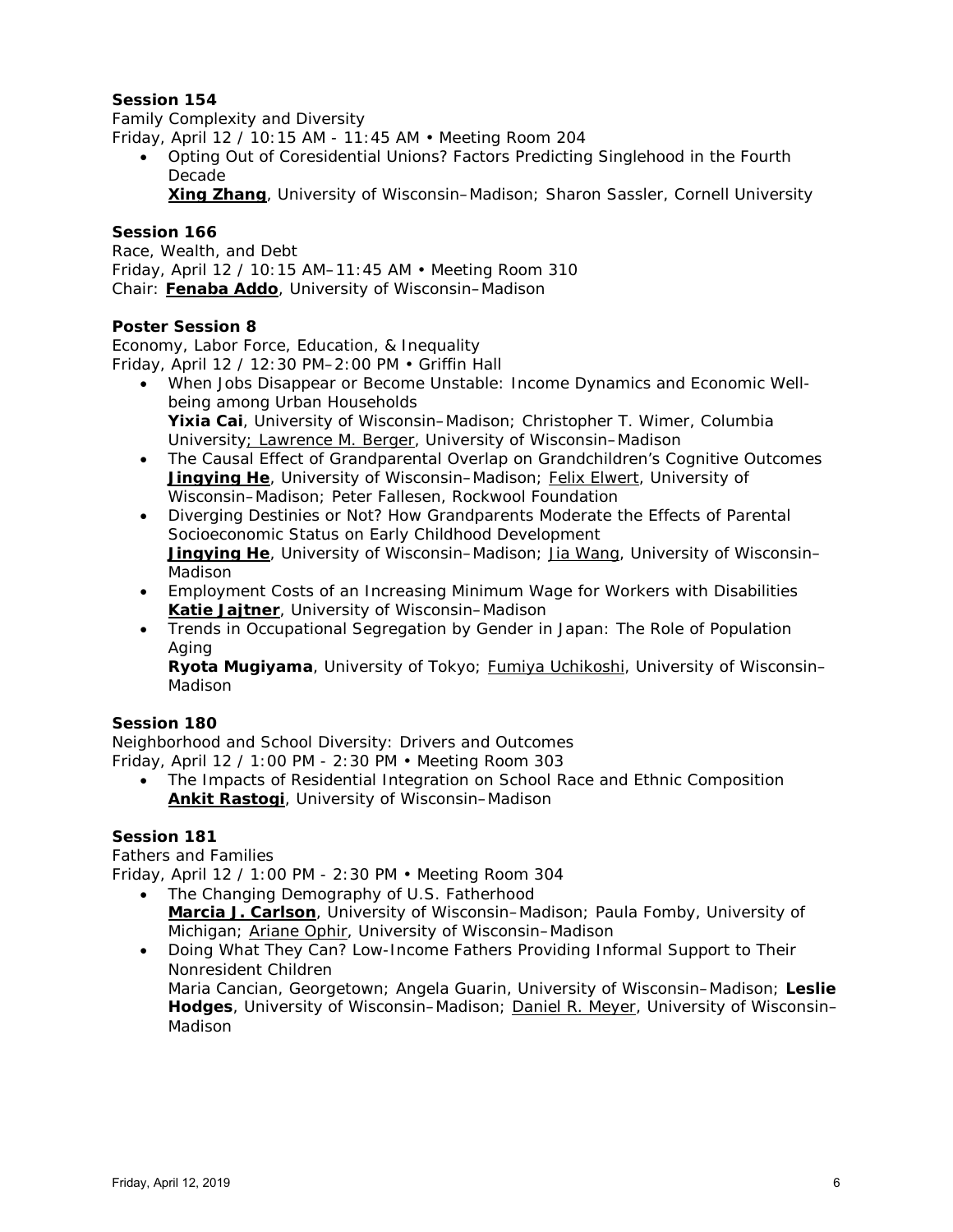Family Complexity and Diversity

Friday, April 12 / 10:15 AM - 11:45 AM • Meeting Room 204

- Opting Out of Coresidential Unions? Factors Predicting Singlehood in the Fourth Decade
	- **Xing Zhang**, University of Wisconsin–Madison; Sharon Sassler, Cornell University

#### **Session 166**

Race, Wealth, and Debt Friday, April 12 / 10:15 AM–11:45 AM • Meeting Room 310 Chair: **Fenaba Addo**, University of Wisconsin–Madison

#### **Poster Session 8**

Economy, Labor Force, Education, & Inequality Friday, April 12 / 12:30 PM–2:00 PM • Griffin Hall

- When Jobs Disappear or Become Unstable: Income Dynamics and Economic Wellbeing among Urban Households **Yixia Cai**, University of Wisconsin–Madison; Christopher T. Wimer, Columbia University; Lawrence M. Berger, University of Wisconsin–Madison
- The Causal Effect of Grandparental Overlap on Grandchildren's Cognitive Outcomes **Jingying He**, University of Wisconsin–Madison; Felix Elwert, University of Wisconsin–Madison; Peter Fallesen, Rockwool Foundation
- Diverging Destinies or Not? How Grandparents Moderate the Effects of Parental Socioeconomic Status on Early Childhood Development **Jingying He**, University of Wisconsin–Madison; Jia Wang, University of Wisconsin– Madison
- Employment Costs of an Increasing Minimum Wage for Workers with Disabilities **Katie Jajtner**, University of Wisconsin–Madison
- Trends in Occupational Segregation by Gender in Japan: The Role of Population Aging

Ryota Mugiyama, University of Tokyo; **Fumiya Uchikoshi**, University of Wisconsin-Madison

#### **Session 180**

Neighborhood and School Diversity: Drivers and Outcomes Friday, April 12 / 1:00 PM - 2:30 PM • Meeting Room 303

• The Impacts of Residential Integration on School Race and Ethnic Composition **Ankit Rastogi**, University of Wisconsin–Madison

## **Session 181**

Fathers and Families

Friday, April 12 / 1:00 PM - 2:30 PM • Meeting Room 304

- The Changing Demography of U.S. Fatherhood **Marcia J. Carlson**, University of Wisconsin–Madison; Paula Fomby, University of Michigan; Ariane Ophir, University of Wisconsin–Madison
- Doing What They Can? Low-Income Fathers Providing Informal Support to Their Nonresident Children Maria Cancian, Georgetown; Angela Guarin, University of Wisconsin–Madison; **Leslie**

Hodges, University of Wisconsin–Madison; Daniel R. Meyer, University of Wisconsin– Madison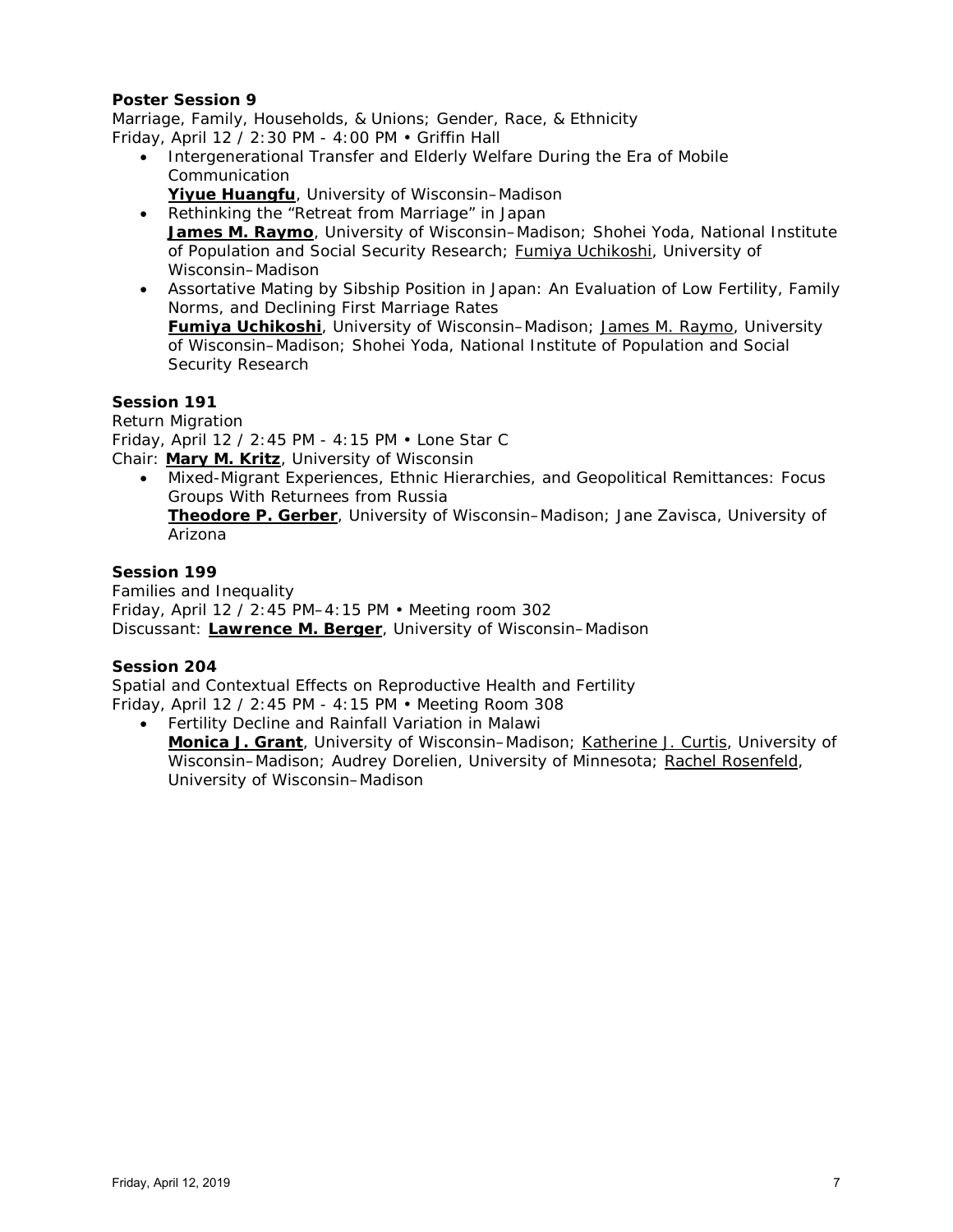Marriage, Family, Households, & Unions; Gender, Race, & Ethnicity Friday, April 12 / 2:30 PM - 4:00 PM • Griffin Hall

• Intergenerational Transfer and Elderly Welfare During the Era of Mobile Communication

**Yiyue Huangfu**, University of Wisconsin–Madison

- Rethinking the "Retreat from Marriage" in Japan **James M. Raymo**, University of Wisconsin–Madison; Shohei Yoda, National Institute of Population and Social Security Research; Fumiya Uchikoshi, University of Wisconsin–Madison
- Assortative Mating by Sibship Position in Japan: An Evaluation of Low Fertility, Family Norms, and Declining First Marriage Rates **Fumiya Uchikoshi**, University of Wisconsin–Madison; James M. Raymo, University of Wisconsin–Madison; Shohei Yoda, National Institute of Population and Social Security Research

## **Session 191**

Return Migration Friday, April 12 / 2:45 PM - 4:15 PM • Lone Star C Chair: **Mary M. Kritz**, University of Wisconsin

• Mixed-Migrant Experiences, Ethnic Hierarchies, and Geopolitical Remittances: Focus Groups With Returnees from Russia **Theodore P. Gerber**, University of Wisconsin–Madison; Jane Zavisca, University of Arizona

#### **Session 199**

Families and Inequality Friday, April 12 / 2:45 PM–4:15 PM • Meeting room 302 Discussant: **Lawrence M. Berger**, University of Wisconsin–Madison

#### **Session 204**

Spatial and Contextual Effects on Reproductive Health and Fertility Friday, April 12 / 2:45 PM - 4:15 PM • Meeting Room 308

• Fertility Decline and Rainfall Variation in Malawi **Monica J. Grant**, University of Wisconsin–Madison; Katherine J. Curtis, University of Wisconsin–Madison; Audrey Dorelien, University of Minnesota; Rachel Rosenfeld, University of Wisconsin–Madison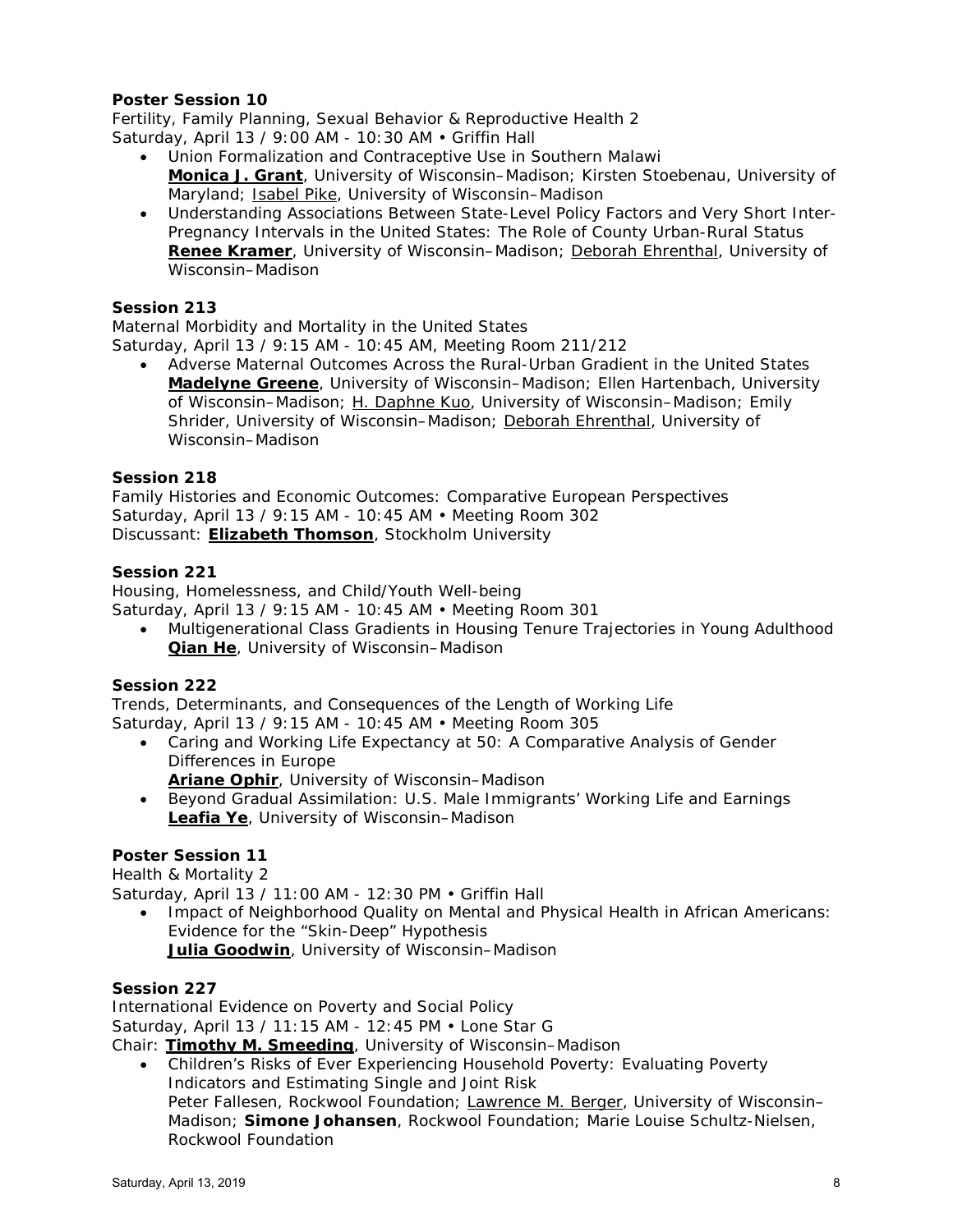Fertility, Family Planning, Sexual Behavior & Reproductive Health 2 Saturday, April 13 / 9:00 AM - 10:30 AM • Griffin Hall

- Union Formalization and Contraceptive Use in Southern Malawi **Monica J. Grant**, University of Wisconsin–Madison; Kirsten Stoebenau, University of Maryland; **Isabel Pike**, University of Wisconsin-Madison
- Understanding Associations Between State-Level Policy Factors and Very Short Inter-Pregnancy Intervals in the United States: The Role of County Urban-Rural Status **Renee Kramer**, University of Wisconsin–Madison; Deborah Ehrenthal, University of Wisconsin–Madison

#### **Session 213**

Maternal Morbidity and Mortality in the United States Saturday, April 13 / 9:15 AM - 10:45 AM, Meeting Room 211/212

• Adverse Maternal Outcomes Across the Rural-Urban Gradient in the United States **Madelyne Greene**, University of Wisconsin–Madison; Ellen Hartenbach, University of Wisconsin–Madison; H. Daphne Kuo, University of Wisconsin–Madison; Emily Shrider, University of Wisconsin–Madison; Deborah Ehrenthal, University of Wisconsin–Madison

#### **Session 218**

Family Histories and Economic Outcomes: Comparative European Perspectives Saturday, April 13 / 9:15 AM - 10:45 AM • Meeting Room 302 Discussant: **Elizabeth Thomson**, Stockholm University

#### **Session 221**

Housing, Homelessness, and Child/Youth Well-being

- Saturday, April 13 / 9:15 AM 10:45 AM Meeting Room 301
	- Multigenerational Class Gradients in Housing Tenure Trajectories in Young Adulthood **Qian He**, University of Wisconsin–Madison

#### **Session 222**

Trends, Determinants, and Consequences of the Length of Working Life Saturday, April 13 / 9:15 AM - 10:45 AM • Meeting Room 305

- Caring and Working Life Expectancy at 50: A Comparative Analysis of Gender Differences in Europe
	- **Ariane Ophir**, University of Wisconsin–Madison
- Beyond Gradual Assimilation: U.S. Male Immigrants' Working Life and Earnings **Leafia Ye**, University of Wisconsin–Madison

#### **Poster Session 11**

Health & Mortality 2

Saturday, April 13 / 11:00 AM - 12:30 PM • Griffin Hall • Impact of Neighborhood Quality on Mental and Physical Health in African Americans:

Evidence for the "Skin-Deep" Hypothesis **Julia Goodwin**, University of Wisconsin-Madison

# **Session 227**

International Evidence on Poverty and Social Policy Saturday, April 13 / 11:15 AM - 12:45 PM • Lone Star G

Chair: **Timothy M. Smeeding**, University of Wisconsin–Madison

• Children's Risks of Ever Experiencing Household Poverty: Evaluating Poverty Indicators and Estimating Single and Joint Risk Peter Fallesen, Rockwool Foundation; Lawrence M. Berger, University of Wisconsin-Madison; **Simone Johansen**, Rockwool Foundation; Marie Louise Schultz-Nielsen, Rockwool Foundation